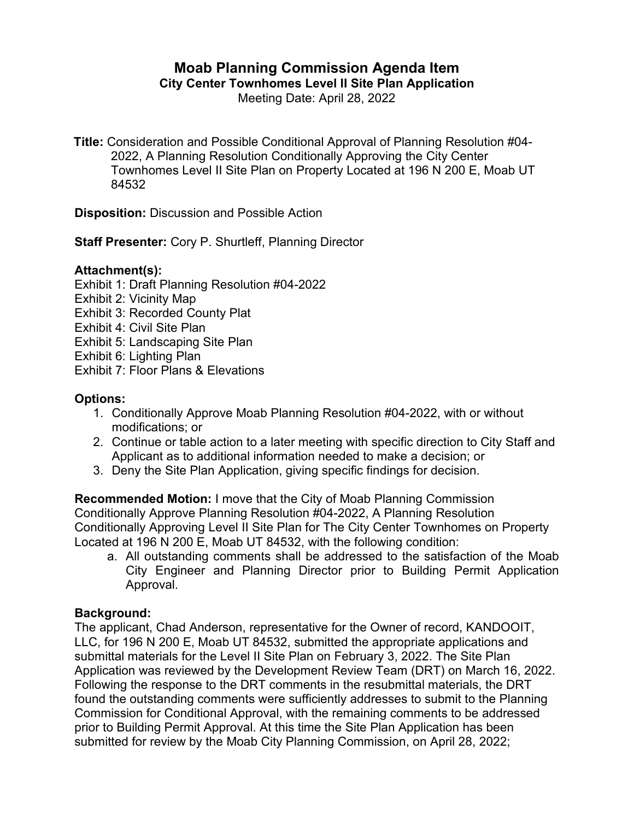# **Moab Planning Commission Agenda Item**

**City Center Townhomes Level II Site Plan Application**

Meeting Date: April 28, 2022

**Title:** Consideration and Possible Conditional Approval of Planning Resolution #04- 2022, A Planning Resolution Conditionally Approving the City Center Townhomes Level II Site Plan on Property Located at 196 N 200 E, Moab UT 84532

**Disposition:** Discussion and Possible Action

**Staff Presenter:** Cory P. Shurtleff, Planning Director

## **Attachment(s):**

Exhibit 1: Draft Planning Resolution #04-2022

- Exhibit 2: Vicinity Map
- Exhibit 3: Recorded County Plat

Exhibit 4: Civil Site Plan

- Exhibit 5: Landscaping Site Plan
- Exhibit 6: Lighting Plan
- Exhibit 7: Floor Plans & Elevations

# **Options:**

- 1. Conditionally Approve Moab Planning Resolution #04-2022, with or without modifications; or
- 2. Continue or table action to a later meeting with specific direction to City Staff and Applicant as to additional information needed to make a decision; or
- 3. Deny the Site Plan Application, giving specific findings for decision.

**Recommended Motion:** I move that the City of Moab Planning Commission Conditionally Approve Planning Resolution #04-2022, A Planning Resolution Conditionally Approving Level II Site Plan for The City Center Townhomes on Property Located at 196 N 200 E, Moab UT 84532, with the following condition:

a. All outstanding comments shall be addressed to the satisfaction of the Moab City Engineer and Planning Director prior to Building Permit Application Approval.

## **Background:**

The applicant, Chad Anderson, representative for the Owner of record, KANDOOIT, LLC, for 196 N 200 E, Moab UT 84532, submitted the appropriate applications and submittal materials for the Level II Site Plan on February 3, 2022. The Site Plan Application was reviewed by the Development Review Team (DRT) on March 16, 2022. Following the response to the DRT comments in the resubmittal materials, the DRT found the outstanding comments were sufficiently addresses to submit to the Planning Commission for Conditional Approval, with the remaining comments to be addressed prior to Building Permit Approval. At this time the Site Plan Application has been submitted for review by the Moab City Planning Commission, on April 28, 2022;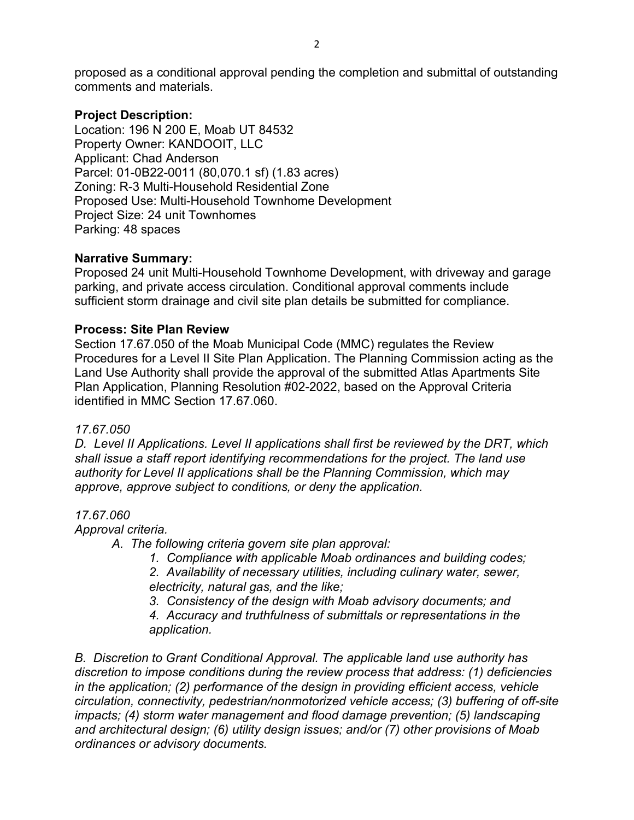proposed as a conditional approval pending the completion and submittal of outstanding comments and materials.

#### **Project Description:**

Location: 196 N 200 E, Moab UT 84532 Property Owner: KANDOOIT, LLC Applicant: Chad Anderson Parcel: 01-0B22-0011 (80,070.1 sf) (1.83 acres) Zoning: R-3 Multi-Household Residential Zone Proposed Use: Multi-Household Townhome Development Project Size: 24 unit Townhomes Parking: 48 spaces

#### **Narrative Summary:**

Proposed 24 unit Multi-Household Townhome Development, with driveway and garage parking, and private access circulation. Conditional approval comments include sufficient storm drainage and civil site plan details be submitted for compliance.

#### **Process: Site Plan Review**

Section 17.67.050 of the Moab Municipal Code (MMC) regulates the Review Procedures for a Level II Site Plan Application. The Planning Commission acting as the Land Use Authority shall provide the approval of the submitted Atlas Apartments Site Plan Application, Planning Resolution #02-2022, based on the Approval Criteria identified in MMC Section 17.67.060.

#### *17.67.050*

*D. Level II Applications. Level II applications shall first be reviewed by the DRT, which shall issue a staff report identifying recommendations for the project. The land use authority for Level II applications shall be the Planning Commission, which may approve, approve subject to conditions, or deny the application.*

#### *17.67.060*

*Approval criteria.*

- *A. The following criteria govern site plan approval:*
	- *1. Compliance with applicable Moab ordinances and building codes;*

*2. Availability of necessary utilities, including culinary water, sewer, electricity, natural gas, and the like;*

*3. Consistency of the design with Moab advisory documents; and*

*4. Accuracy and truthfulness of submittals or representations in the application.*

*B. Discretion to Grant Conditional Approval. The applicable land use authority has discretion to impose conditions during the review process that address: (1) deficiencies in the application; (2) performance of the design in providing efficient access, vehicle circulation, connectivity, pedestrian/nonmotorized vehicle access; (3) buffering of off-site impacts; (4) storm water management and flood damage prevention; (5) landscaping and architectural design; (6) utility design issues; and/or (7) other provisions of Moab ordinances or advisory documents.*